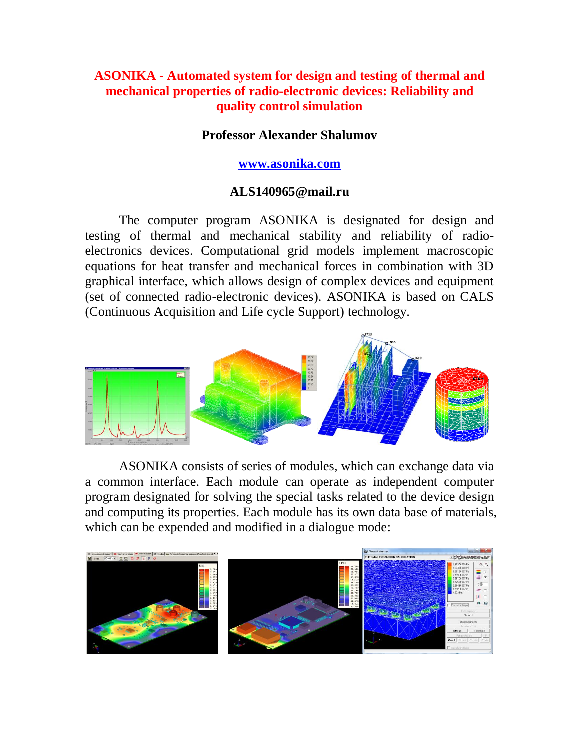# **ASONIKA - Automated system for design and testing of thermal and mechanical properties of radio-electronic devices: Reliability and quality control simulation**

### **Professor Alexander Shalumov**

#### **www.asonika.com**

### **ALS140965@mail.ru**

The computer program ASONIKA is designated for design and testing of thermal and mechanical stability and reliability of radioelectronics devices. Computational grid models implement macroscopic equations for heat transfer and mechanical forces in combination with 3D graphical interface, which allows design of complex devices and equipment (set of connected radio-electronic devices). ASONIKA is based on CALS (Continuous Acquisition and Life cycle Support) technology.



ASONIKA consists of series of modules, which can exchange data via a common interface. Each module can operate as independent computer program designated for solving the special tasks related to the device design and computing its properties. Each module has its own data base of materials, which can be expended and modified in a dialogue mode: